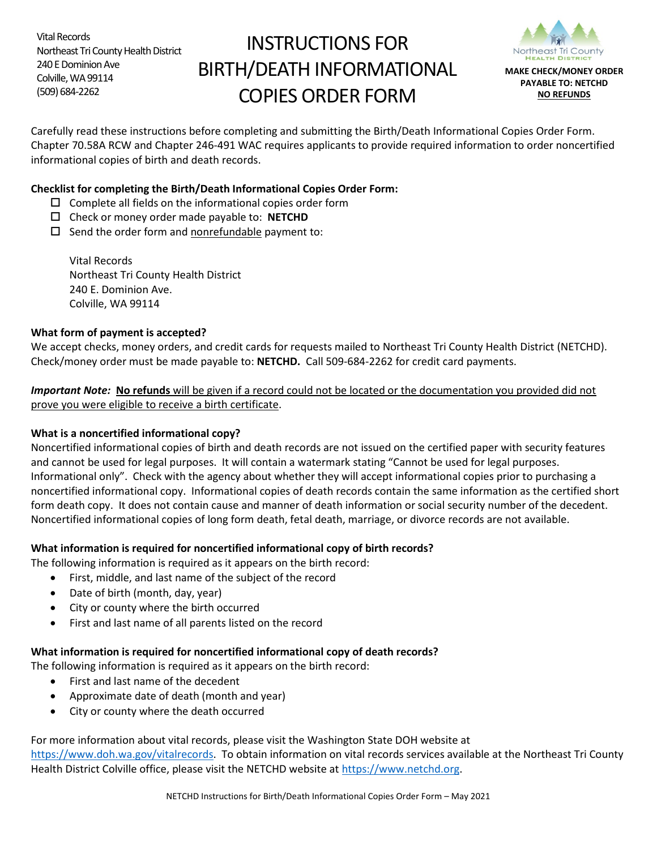Vital Records Northeast Tri County Health District 240 E Dominion Ave Colville, WA 99114 (509) 684-2262

# INSTRUCTIONS FOR BIRTH/DEATH INFORMATIONAL COPIES ORDER FORM



Carefully read these instructions before completing and submitting the Birth/Death Informational Copies Order Form. Chapter 70.58A RCW and Chapter 246-491 WAC requires applicants to provide required information to order noncertified informational copies of birth and death records.

### **Checklist for completing the Birth/Death Informational Copies Order Form:**

- $\square$  Complete all fields on the informational copies order form
- Check or money order made payable to: **NETCHD**
- $\square$  Send the order form and nonrefundable payment to:

Vital Records Northeast Tri County Health District 240 E. Dominion Ave. Colville, WA 99114

#### **What form of payment is accepted?**

We accept checks, money orders, and credit cards for requests mailed to Northeast Tri County Health District (NETCHD). Check/money order must be made payable to: **NETCHD.** Call 509-684-2262 for credit card payments.

*Important Note:* **No refunds** will be given if a record could not be located or the documentation you provided did not prove you were eligible to receive a birth certificate.

#### **What is a noncertified informational copy?**

Noncertified informational copies of birth and death records are not issued on the certified paper with security features and cannot be used for legal purposes. It will contain a watermark stating "Cannot be used for legal purposes. Informational only". Check with the agency about whether they will accept informational copies prior to purchasing a noncertified informational copy. Informational copies of death records contain the same information as the certified short form death copy. It does not contain cause and manner of death information or social security number of the decedent. Noncertified informational copies of long form death, fetal death, marriage, or divorce records are not available.

#### **What information is required for noncertified informational copy of birth records?**

The following information is required as it appears on the birth record:

- First, middle, and last name of the subject of the record
- Date of birth (month, day, year)
- City or county where the birth occurred
- First and last name of all parents listed on the record

#### **What information is required for noncertified informational copy of death records?**

The following information is required as it appears on the birth record:

- First and last name of the decedent
- Approximate date of death (month and year)
- City or county where the death occurred

For more information about vital records, please visit the Washington State DOH website at [https://www.doh.wa.gov/vitalrecords.](https://www.doh.wa.gov/vitalrecords) To obtain information on vital records services available at the Northeast Tri County Health District Colville office, please visit the NETCHD website a[t https://www.netchd.org.](https://www.netchd.org/)